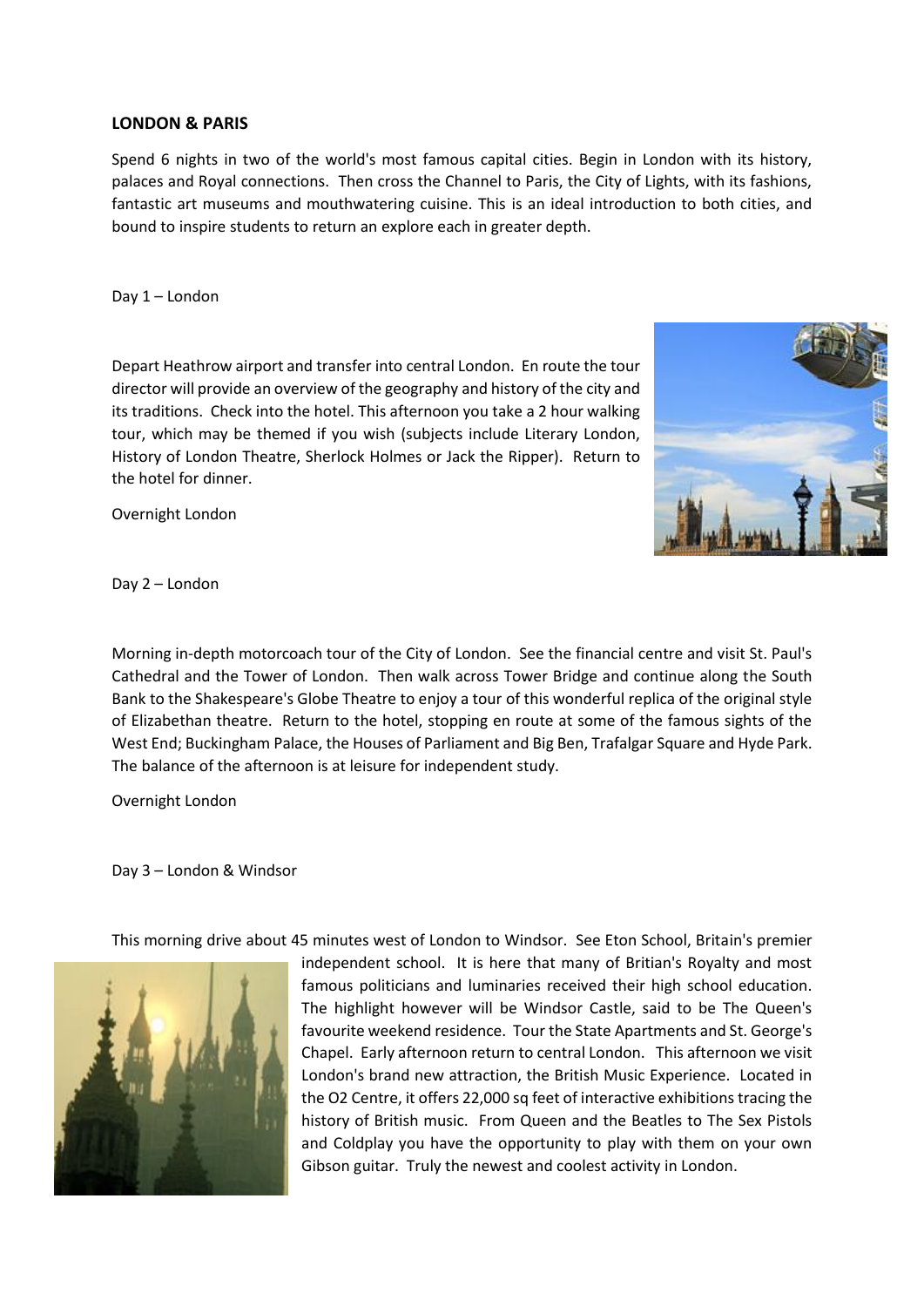## **LONDON & PARIS**

Spend 6 nights in two of the world's most famous capital cities. Begin in London with its history, palaces and Royal connections. Then cross the Channel to Paris, the City of Lights, with its fashions, fantastic art museums and mouthwatering cuisine. This is an ideal introduction to both cities, and bound to inspire students to return an explore each in greater depth.

Day 1 – London

Depart Heathrow airport and transfer into central London. En route the tour director will provide an overview of the geography and history of the city and its traditions. Check into the hotel. This afternoon you take a 2 hour walking tour, which may be themed if you wish (subjects include Literary London, History of London Theatre, Sherlock Holmes or Jack the Ripper). Return to the hotel for dinner.

Overnight London



Day 2 – London

Morning in-depth motorcoach tour of the City of London. See the financial centre and visit St. Paul's Cathedral and the Tower of London. Then walk across Tower Bridge and continue along the South Bank to the Shakespeare's Globe Theatre to enjoy a tour of this wonderful replica of the original style of Elizabethan theatre. Return to the hotel, stopping en route at some of the famous sights of the West End; Buckingham Palace, the Houses of Parliament and Big Ben, Trafalgar Square and Hyde Park. The balance of the afternoon is at leisure for independent study.

Overnight London

Day 3 – London & Windsor



This morning drive about 45 minutes west of London to Windsor. See Eton School, Britain's premier

independent school. It is here that many of Britian's Royalty and most famous politicians and luminaries received their high school education. The highlight however will be Windsor Castle, said to be The Queen's favourite weekend residence. Tour the State Apartments and St. George's Chapel. Early afternoon return to central London. This afternoon we visit London's brand new attraction, the British Music Experience. Located in the O2 Centre, it offers 22,000 sq feet of interactive exhibitions tracing the history of British music. From Queen and the Beatles to The Sex Pistols and Coldplay you have the opportunity to play with them on your own Gibson guitar. Truly the newest and coolest activity in London.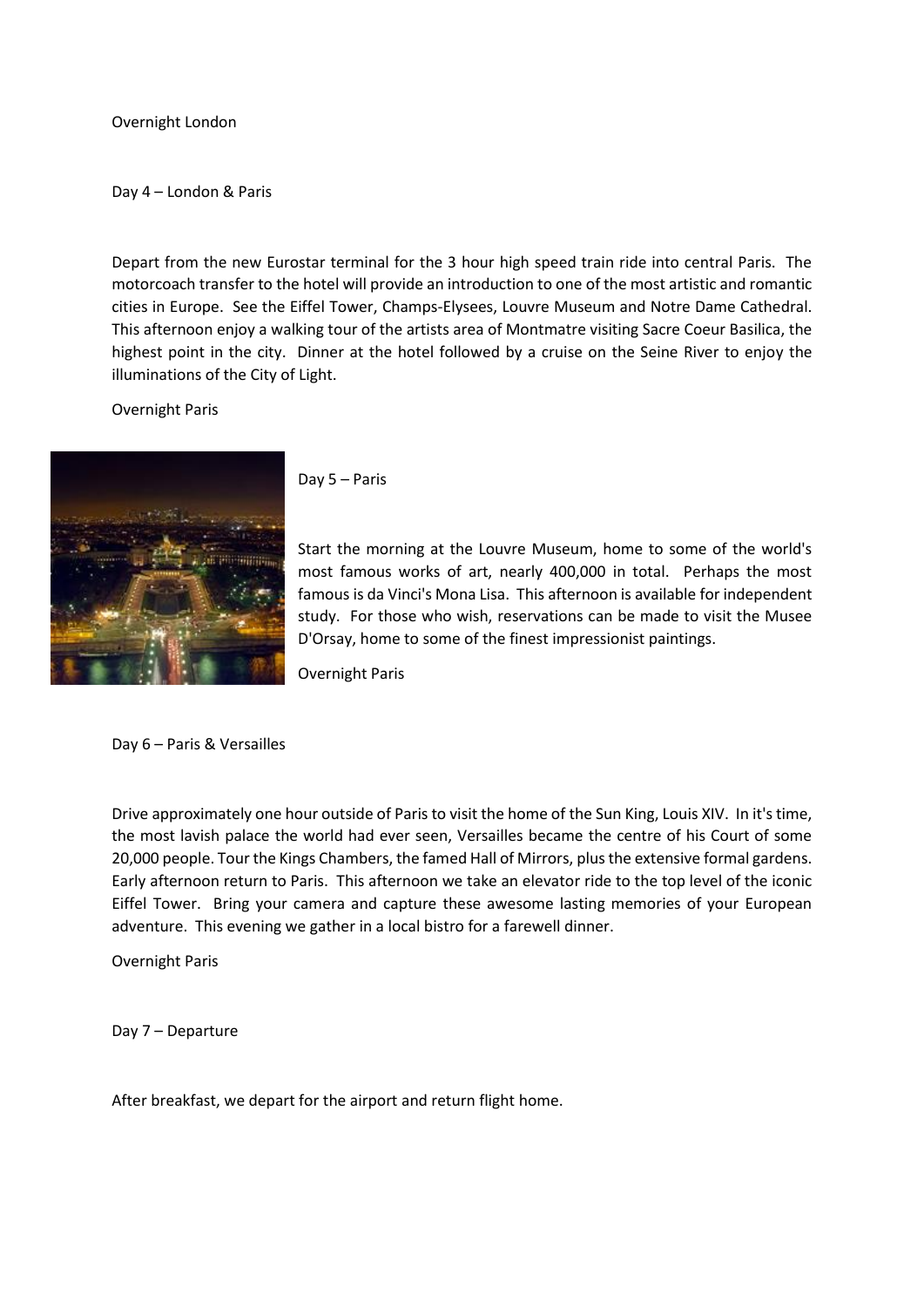## Overnight London

Day 4 – London & Paris

Depart from the new Eurostar terminal for the 3 hour high speed train ride into central Paris. The motorcoach transfer to the hotel will provide an introduction to one of the most artistic and romantic cities in Europe. See the Eiffel Tower, Champs-Elysees, Louvre Museum and Notre Dame Cathedral. This afternoon enjoy a walking tour of the artists area of Montmatre visiting Sacre Coeur Basilica, the highest point in the city. Dinner at the hotel followed by a cruise on the Seine River to enjoy the illuminations of the City of Light.

Overnight Paris



Day 5 – Paris

Start the morning at the Louvre Museum, home to some of the world's most famous works of art, nearly 400,000 in total. Perhaps the most famous is da Vinci's Mona Lisa. This afternoon is available for independent study. For those who wish, reservations can be made to visit the Musee D'Orsay, home to some of the finest impressionist paintings.

Overnight Paris

Day 6 – Paris & Versailles

Drive approximately one hour outside of Paris to visit the home of the Sun King, Louis XIV. In it's time, the most lavish palace the world had ever seen, Versailles became the centre of his Court of some 20,000 people. Tour the Kings Chambers, the famed Hall of Mirrors, plus the extensive formal gardens. Early afternoon return to Paris. This afternoon we take an elevator ride to the top level of the iconic Eiffel Tower. Bring your camera and capture these awesome lasting memories of your European adventure. This evening we gather in a local bistro for a farewell dinner.

Overnight Paris

Day 7 – Departure

After breakfast, we depart for the airport and return flight home.